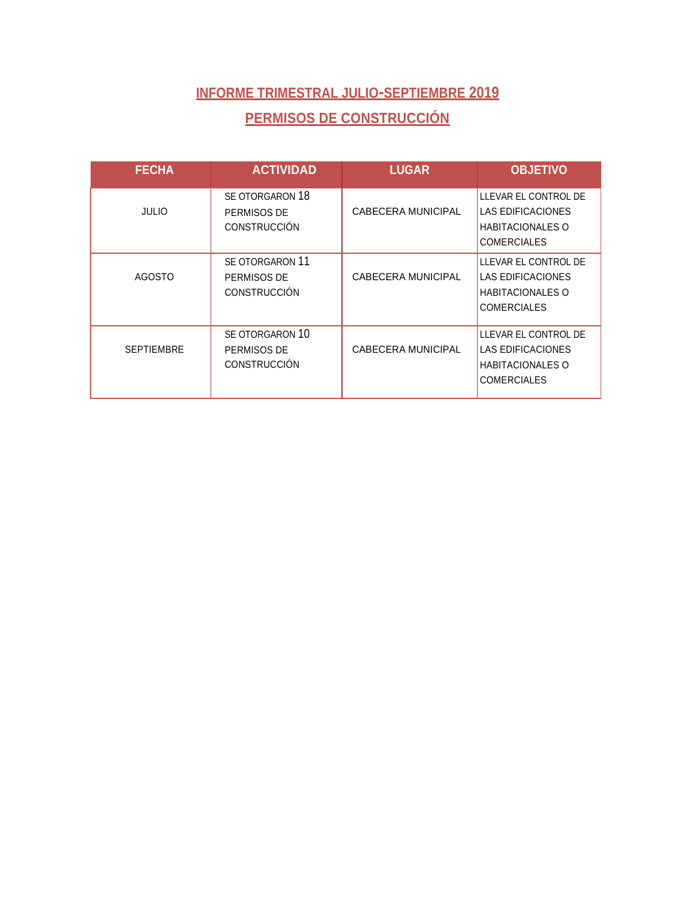### **INFORME TRIMESTRAL JULIO-SEPTIEMBRE 2019 PERMISOS DE CONSTRUCCIÓN**

| <b>FECHA</b>      | <b>ACTIVIDAD</b>                                      | <b>LUGAR</b>              | <b>OBJETIVO</b>                                                                                   |
|-------------------|-------------------------------------------------------|---------------------------|---------------------------------------------------------------------------------------------------|
| <b>JULIO</b>      | SE OTORGARON 18<br>PERMISOS DE<br><b>CONSTRUCCIÓN</b> | CABECERA MUNICIPAL        | LLEVAR EL CONTROL DE<br><b>LAS EDIFICACIONES</b><br><b>HABITACIONALES O</b><br><b>COMERCIALES</b> |
| <b>AGOSTO</b>     | SE OTORGARON 11<br>PERMISOS DE<br><b>CONSTRUCCIÓN</b> | <b>CABECERA MUNICIPAL</b> | LLEVAR EL CONTROL DE<br>LAS EDIFICACIONES<br><b>HABITACIONALES O</b><br><b>COMERCIALES</b>        |
| <b>SEPTIEMBRE</b> | SE OTORGARON 10<br>PERMISOS DE<br><b>CONSTRUCCIÓN</b> | <b>CABECERA MUNICIPAL</b> | LLEVAR EL CONTROL DE<br>LAS EDIFICACIONES<br><b>HABITACIONALES O</b><br><b>COMERCIALES</b>        |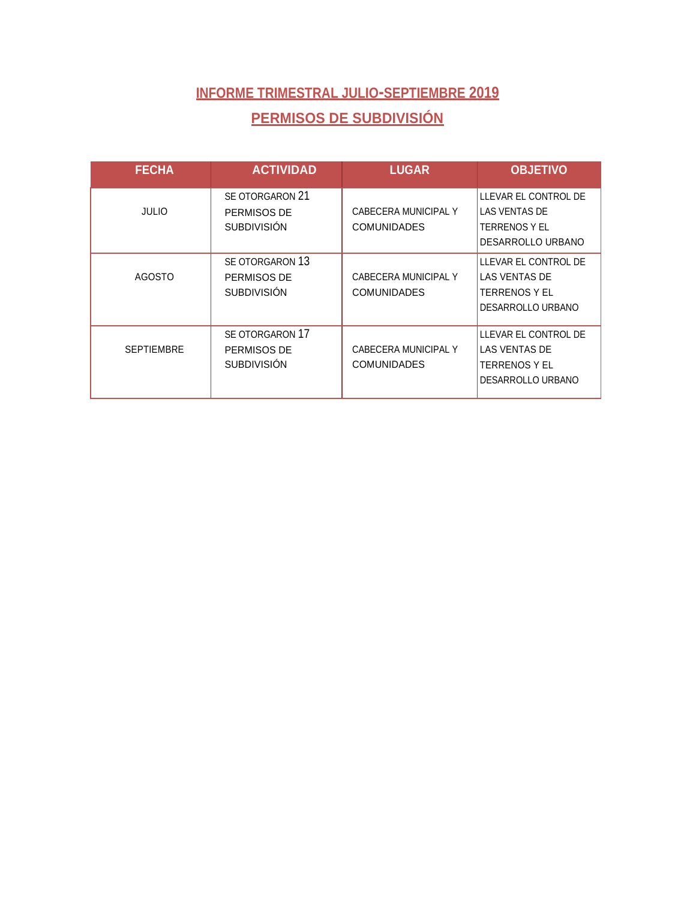# **INFORME TRIMESTRAL JULIO-SEPTIEMBRE 2019 PERMISOS DE SUBDIVISIÓN**

| <b>FECHA</b>      | <b>ACTIVIDAD</b>                                     | <b>LUGAR</b>                               | <b>OBJETIVO</b>                                                                    |
|-------------------|------------------------------------------------------|--------------------------------------------|------------------------------------------------------------------------------------|
| <b>JULIO</b>      | SE OTORGARON 21<br>PERMISOS DE<br><b>SUBDIVISIÓN</b> | CABECERA MUNICIPAL Y<br><b>COMUNIDADES</b> | LLEVAR EL CONTROL DE<br>LAS VENTAS DE<br><b>TERRENOS Y EL</b><br>DESARROLLO URBANO |
| <b>AGOSTO</b>     | SE OTORGARON 13<br>PERMISOS DE<br><b>SUBDIVISIÓN</b> | CABECERA MUNICIPAL Y<br><b>COMUNIDADES</b> | LLEVAR EL CONTROL DE<br>LAS VENTAS DE<br>TERRENOS Y EL<br>DESARROLLO URBANO        |
| <b>SEPTIEMBRE</b> | SE OTORGARON 17<br>PERMISOS DE<br><b>SUBDIVISIÓN</b> | CABECERA MUNICIPAL Y<br><b>COMUNIDADES</b> | LLEVAR EL CONTROL DE<br><b>LAS VENTAS DE</b><br>TERRENOS Y EL<br>DESARROLLO URBANO |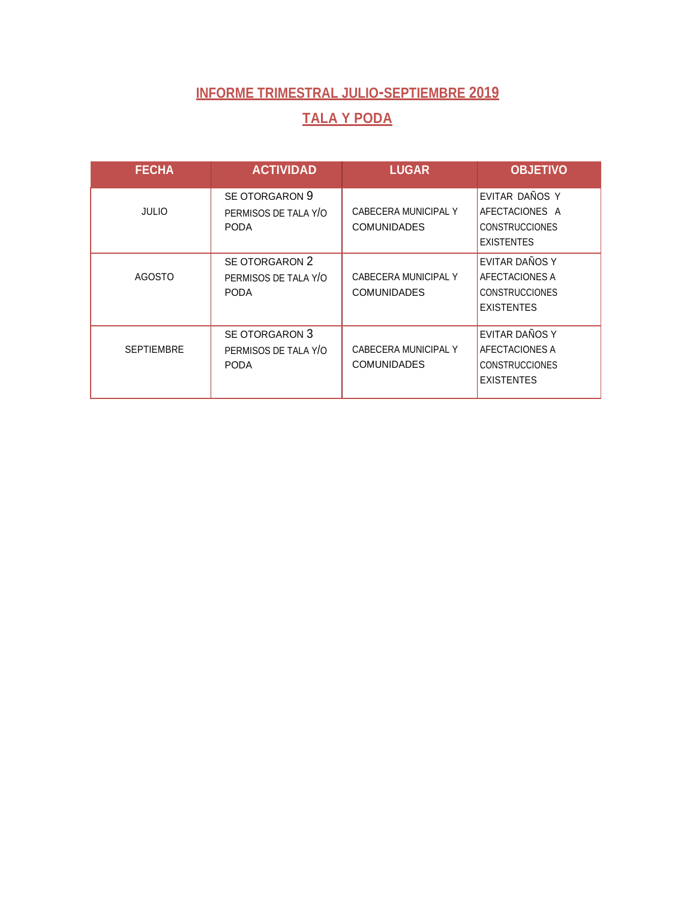### **TALA Y PODA**

| <b>FECHA</b>      | <b>ACTIVIDAD</b>                                      | <b>LUGAR</b>                               | <b>OBJETIVO</b>                                                                |
|-------------------|-------------------------------------------------------|--------------------------------------------|--------------------------------------------------------------------------------|
| <b>JULIO</b>      | SE OTORGARON 9<br>PERMISOS DE TALA Y/O<br><b>PODA</b> | CABECERA MUNICIPAL Y<br><b>COMUNIDADES</b> | EVITAR DAÑOS Y<br>AFECTACIONES A<br><b>CONSTRUCCIONES</b><br><b>EXISTENTES</b> |
| <b>AGOSTO</b>     | SE OTORGARON 2<br>PERMISOS DE TALA Y/O<br><b>PODA</b> | CABECERA MUNICIPAL Y<br><b>COMUNIDADES</b> | EVITAR DAÑOS Y<br>AFECTACIONES A<br><b>CONSTRUCCIONES</b><br><b>EXISTENTES</b> |
| <b>SEPTIEMBRE</b> | SE OTORGARON 3<br>PERMISOS DE TALA Y/O<br><b>PODA</b> | CABECERA MUNICIPAL Y<br><b>COMUNIDADES</b> | EVITAR DAÑOS Y<br>AFECTACIONES A<br><b>CONSTRUCCIONES</b><br><b>EXISTENTES</b> |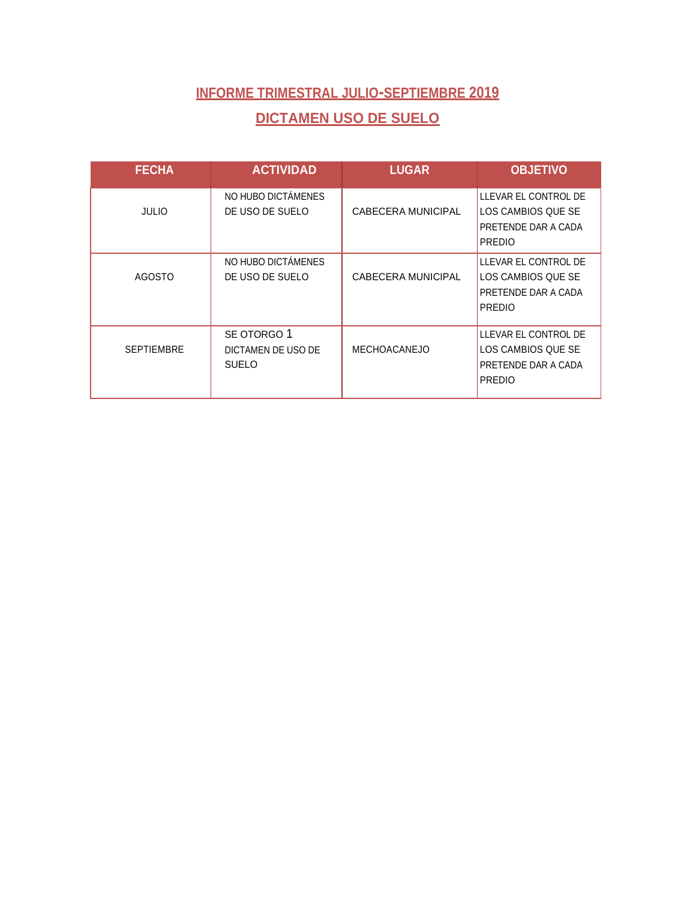### **INFORME TRIMESTRAL JULIO-SEPTIEMBRE 2019 DICTAMEN USO DE SUELO**

| <b>FECHA</b>      | <b>ACTIVIDAD</b>                                  | <b>LUGAR</b>        | <b>OBJETIVO</b>                                                                    |
|-------------------|---------------------------------------------------|---------------------|------------------------------------------------------------------------------------|
| <b>JULIO</b>      | NO HUBO DICTÁMENES<br>DE USO DE SUELO             | CABECERA MUNICIPAL  | LLEVAR EL CONTROL DE<br>LOS CAMBIOS QUE SE<br>PRETENDE DAR A CADA<br><b>PREDIO</b> |
| <b>AGOSTO</b>     | NO HUBO DICTAMENES<br>DE USO DE SUELO             | CABECERA MUNICIPAL  | LLEVAR EL CONTROL DE<br>LOS CAMBIOS QUE SE<br>PRETENDE DAR A CADA<br><b>PREDIO</b> |
| <b>SEPTIEMBRE</b> | SE OTORGO 1<br>DICTAMEN DE USO DE<br><b>SUELO</b> | <b>MECHOACANEJO</b> | LLEVAR EL CONTROL DE<br>LOS CAMBIOS QUE SE<br>PRETENDE DAR A CADA<br><b>PREDIO</b> |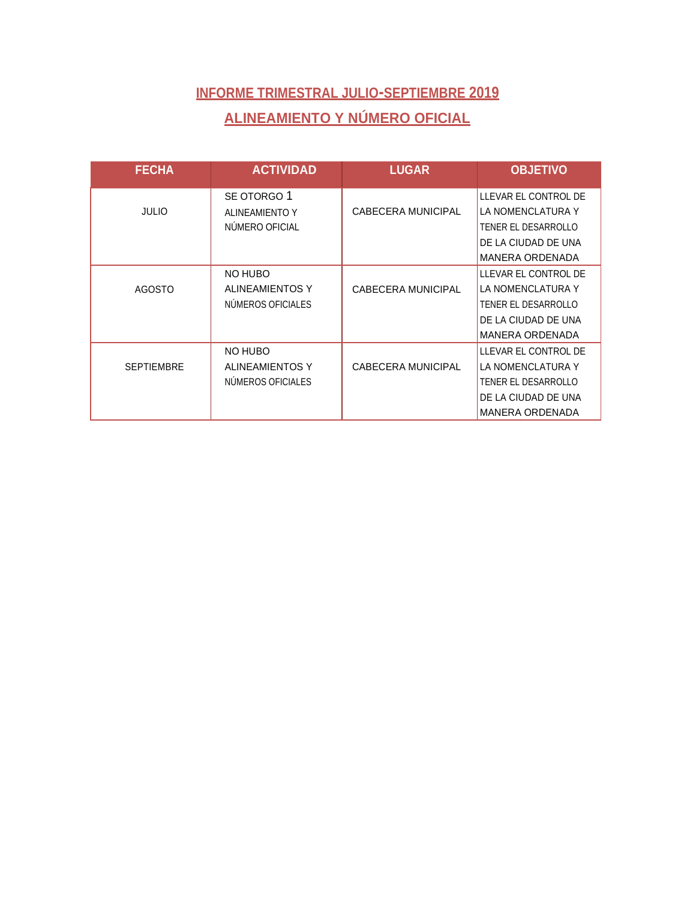# **INFORME TRIMESTRAL JULIO-SEPTIEMBRE 2019 ALINEAMIENTO Y NÚMERO OFICIAL**

| <b>FECHA</b>      | <b>ACTIVIDAD</b>       | <b>LUGAR</b>       | <b>OBJETIVO</b>        |
|-------------------|------------------------|--------------------|------------------------|
|                   | SE OTORGO 1            |                    | LLEVAR EL CONTROL DE   |
| <b>JULIO</b>      | <b>ALINEAMIENTO Y</b>  | CABECERA MUNICIPAL | LA NOMENCLATURA Y      |
|                   | NUMERO OFICIAL         |                    | TENER EL DESARROLLO    |
|                   |                        |                    | DE LA CIUDAD DE UNA    |
|                   |                        |                    | <b>MANERA ORDENADA</b> |
|                   | NO HUBO                |                    | LLEVAR EL CONTROL DE   |
| <b>AGOSTO</b>     | <b>ALINEAMIENTOS Y</b> | CABECERA MUNICIPAL | LA NOMENCLATURA Y      |
|                   | NUMEROS OFICIALES      |                    | TENER EL DESARROLLO    |
|                   |                        |                    | DE LA CIUDAD DE UNA    |
|                   |                        |                    | <b>MANERA ORDENADA</b> |
|                   | NO HUBO                |                    | LLEVAR EL CONTROL DE   |
| <b>SEPTIEMBRE</b> | ALINEAMIENTOS Y        | CABECERA MUNICIPAL | LA NOMENCLATURA Y      |
|                   | NUMEROS OFICIALES      |                    | TENER EL DESARROLLO    |
|                   |                        |                    | DE LA CIUDAD DE UNA    |
|                   |                        |                    | <b>MANERA ORDENADA</b> |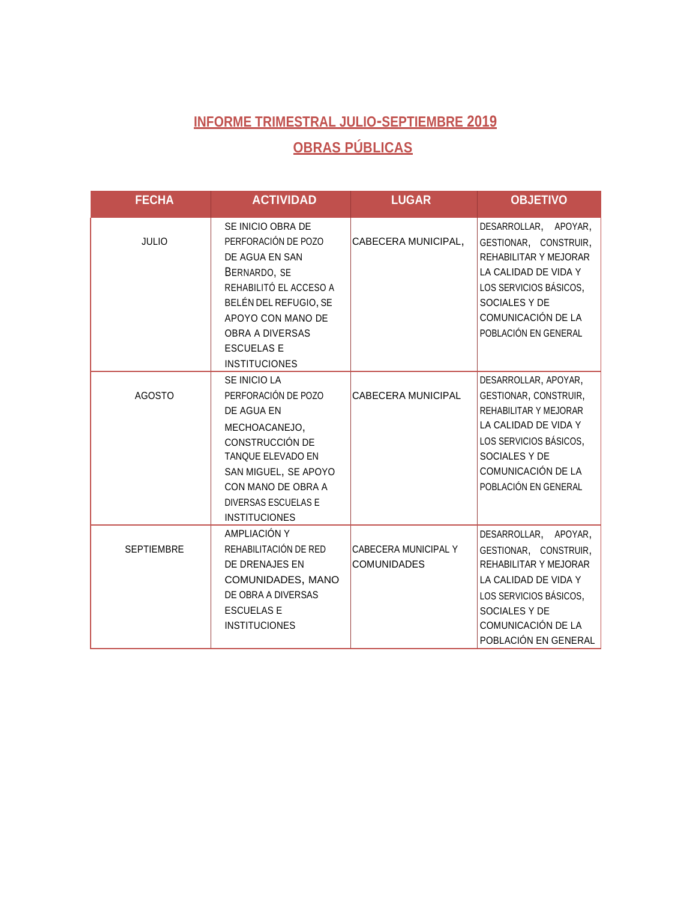# **INFORME TRIMESTRAL JULIO-SEPTIEMBRE 2019 OBRAS PÚBLICAS**

| <b>FECHA</b>      | <b>ACTIVIDAD</b>                                                                                                                                                                                                          | <b>LUGAR</b>                               | <b>OBJETIVO</b>                                                                                                                                                                         |
|-------------------|---------------------------------------------------------------------------------------------------------------------------------------------------------------------------------------------------------------------------|--------------------------------------------|-----------------------------------------------------------------------------------------------------------------------------------------------------------------------------------------|
| <b>JULIO</b>      | SE INICIO OBRA DE<br>PERFORACIÓN DE POZO<br>DE AGUA EN SAN<br>BERNARDO, SE<br>REHABILITÓ EL ACCESO A<br>BELÉN DEL REFUGIO, SE<br>APOYO CON MANO DE<br><b>OBRA A DIVERSAS</b><br><b>ESCUELAS E</b><br><b>INSTITUCIONES</b> | CABECERA MUNICIPAL,                        | DESARROLLAR, APOYAR,<br>GESTIONAR, CONSTRUIR,<br>REHABILITAR Y MEJORAR<br>LA CALIDAD DE VIDA Y<br>LOS SERVICIOS BÁSICOS,<br>SOCIALES Y DE<br>COMUNICACIÓN DE LA<br>POBLACIÓN EN GENERAL |
| <b>AGOSTO</b>     | SE INICIO LA<br>PERFORACIÓN DE POZO<br>DE AGUA EN<br>MECHOACANEJO,<br>CONSTRUCCIÓN DE<br>TANQUE ELEVADO EN<br>SAN MIGUEL, SE APOYO<br>CON MANO DE OBRA A<br><b>DIVERSAS ESCUELAS E</b><br><b>INSTITUCIONES</b>            | CABECERA MUNICIPAL                         | DESARROLLAR, APOYAR,<br>GESTIONAR, CONSTRUIR,<br>REHABILITAR Y MEJORAR<br>LA CALIDAD DE VIDA Y<br>LOS SERVICIOS BÁSICOS,<br>SOCIALES Y DE<br>COMUNICACIÓN DE LA<br>POBLACIÓN EN GENERAL |
| <b>SEPTIEMBRE</b> | AMPLIACIÓN Y<br>REHABILITACIÓN DE RED<br>DE DRENAJES EN<br>COMUNIDADES, MANO<br>DE OBRA A DIVERSAS<br><b>ESCUELAS E</b><br><b>INSTITUCIONES</b>                                                                           | CABECERA MUNICIPAL Y<br><b>COMUNIDADES</b> | DESARROLLAR, APOYAR,<br>GESTIONAR, CONSTRUIR,<br>REHABILITAR Y MEJORAR<br>LA CALIDAD DE VIDA Y<br>LOS SERVICIOS BÁSICOS,<br>SOCIALES Y DE<br>COMUNICACIÓN DE LA<br>POBLACIÓN EN GENERAL |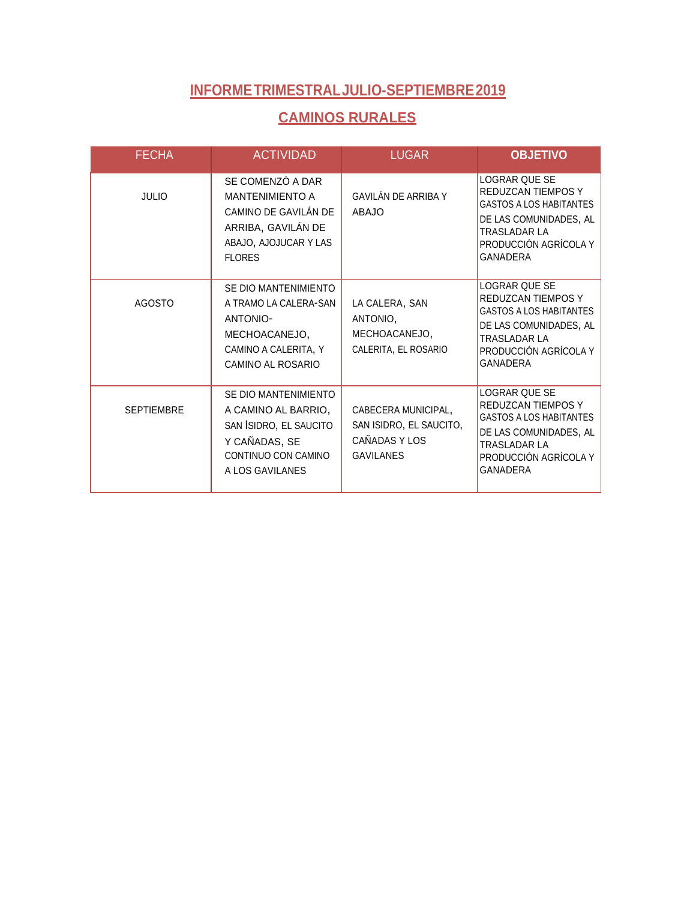#### **CAMINOS RURALES**

| <b>FECHA</b>      | <b>ACTIVIDAD</b>                                                                                                                   | <b>LUGAR</b>                                                                        | <b>OBJETIVO</b>                                                                                                                                                           |
|-------------------|------------------------------------------------------------------------------------------------------------------------------------|-------------------------------------------------------------------------------------|---------------------------------------------------------------------------------------------------------------------------------------------------------------------------|
| <b>JULIO</b>      | SE COMENZÓ A DAR<br><b>MANTENIMIENTO A</b><br>CAMINO DE GAVILÁN DE<br>ARRIBA, GAVILÁN DE<br>ABAJO, AJOJUCAR Y LAS<br><b>FLORES</b> | GAVILÁN DE ARRIBA Y<br><b>ABAJO</b>                                                 | LOGRAR QUE SE<br><b>REDUZCAN TIEMPOS Y</b><br><b>GASTOS A LOS HABITANTES</b><br>DE LAS COMUNIDADES, AL<br><b>TRASLADAR LA</b><br>PRODUCCIÓN AGRÍCOLA Y<br>GANADERA        |
| <b>AGOSTO</b>     | SE DIO MANTENIMIENTO<br>A TRAMO LA CALERA-SAN<br><b>ANTONIO-</b><br>MECHOACANEJO,<br>CAMINO A CALERITA, Y<br>CAMINO AL ROSARIO     | LA CALERA, SAN<br>ANTONIO,<br>MECHOACANEJO,<br>CALERITA, EL ROSARIO                 | LOGRAR QUE SE<br>REDUZCAN TIEMPOS Y<br><b>GASTOS A LOS HABITANTES</b><br>DE LAS COMUNIDADES, AL<br><b>TRASLADAR LA</b><br>PRODUCCIÓN AGRÍCOLA Y<br>GANADERA               |
| <b>SEPTIEMBRE</b> | SE DIO MANTENIMIENTO<br>A CAMINO AL BARRIO,<br>SAN ISIDRO, EL SAUCITO<br>Y CAÑADAS, SE<br>CONTINUO CON CAMINO<br>A LOS GAVILANES   | CABECERA MUNICIPAL,<br>SAN ISIDRO, EL SAUCITO,<br>CAÑADAS Y LOS<br><b>GAVILANES</b> | LOGRAR QUE SE<br><b>REDUZCAN TIEMPOS Y</b><br><b>GASTOS A LOS HABITANTES</b><br>DE LAS COMUNIDADES, AL<br><b>TRASLADAR LA</b><br>PRODUCCIÓN AGRÍCOLA Y<br><b>GANADERA</b> |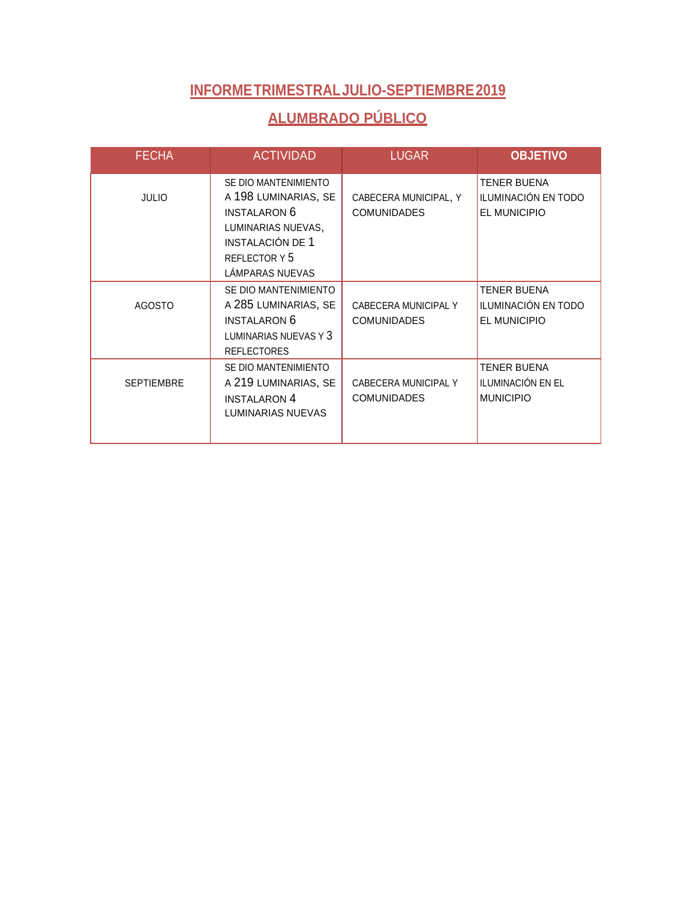### **ALUMBRADO PÚBLICO**

| <b>FECHA</b>      | <b>ACTIVIDAD</b>                                                                                                                                         | <b>LUGAR</b>                                | <b>OBJETIVO</b>                                             |
|-------------------|----------------------------------------------------------------------------------------------------------------------------------------------------------|---------------------------------------------|-------------------------------------------------------------|
| <b>JULIO</b>      | SE DIO MANTENIMIENTO<br>A 198 LUMINARIAS, SE<br><b>INSTALARON 6</b><br>LUMINARIAS NUEVAS,<br><b>INSTALACIÓN DE 1</b><br>REFLECTOR Y 5<br>LÁMPARAS NUEVAS | CABECERA MUNICIPAL, Y<br><b>COMUNIDADES</b> | <b>TENER BUENA</b><br>ILUMINACIÓN EN TODO<br>EL MUNICIPIO   |
| <b>AGOSTO</b>     | SE DIO MANTENIMIENTO<br>A 285 LUMINARIAS, SE<br><b>INSTALARON 6</b><br>LUMINARIAS NUEVAS Y 3<br><b>REFLECTORES</b>                                       | CABECERA MUNICIPAL Y<br><b>COMUNIDADES</b>  | <b>TENER BUENA</b><br>ILUMINACIÓN EN TODO<br>EL MUNICIPIO   |
| <b>SEPTIEMBRE</b> | SE DIO MANTENIMIENTO<br>A 219 LUMINARIAS, SE<br><b>INSTALARON 4</b><br>LUMINARIAS NUEVAS                                                                 | CABECERA MUNICIPAL Y<br><b>COMUNIDADES</b>  | <b>TENER BUENA</b><br>ILUMINACIÓN EN EL<br><b>MUNICIPIO</b> |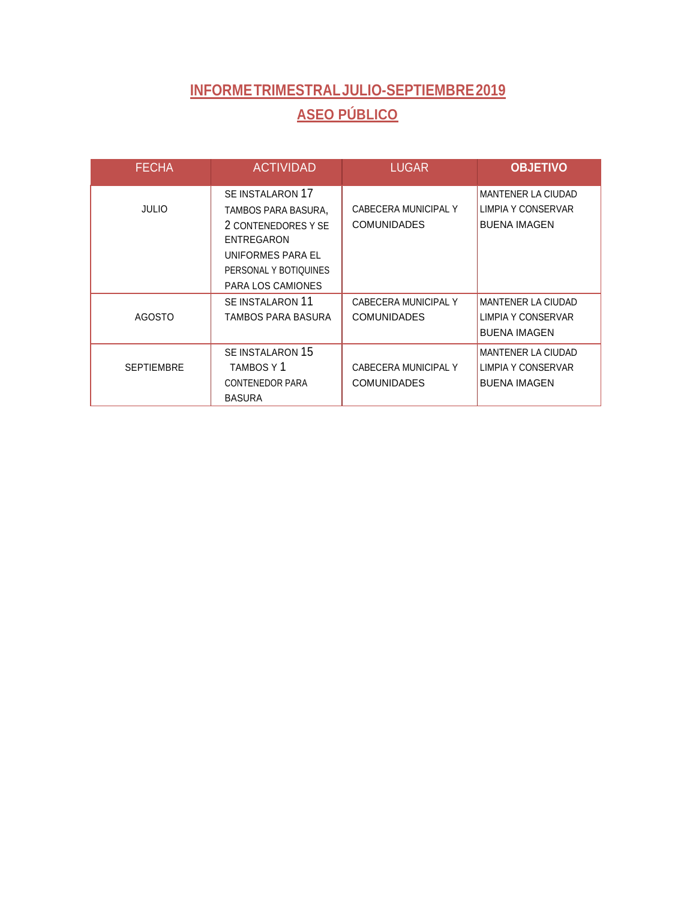# **INFORMETRIMESTRALJULIO-SEPTIEMBRE2019 ASEO PÚBLICO**

| <b>FECHA</b>      | <b>ACTIVIDAD</b>                                                                                                                                | <b>LUGAR</b>                               | <b>OBJETIVO</b>                                                        |
|-------------------|-------------------------------------------------------------------------------------------------------------------------------------------------|--------------------------------------------|------------------------------------------------------------------------|
| <b>JULIO</b>      | SE INSTALARON 17<br>TAMBOS PARA BASURA,<br>2 CONTENEDORES Y SE<br>ENTREGARON<br>UNIFORMES PARA EL<br>PERSONAL Y BOTIQUINES<br>PARA LOS CAMIONES | CABECERA MUNICIPAL Y<br><b>COMUNIDADES</b> | <b>MANTENER LA CIUDAD</b><br>LIMPIA Y CONSERVAR<br><b>BUENA IMAGEN</b> |
| <b>AGOSTO</b>     | SE INSTALARON 11<br>TAMBOS PARA BASURA                                                                                                          | CABECERA MUNICIPAL Y<br><b>COMUNIDADES</b> | <b>MANTENER LA CIUDAD</b><br>LIMPIA Y CONSERVAR<br><b>BUENA IMAGEN</b> |
| <b>SEPTIEMBRE</b> | SE INSTALARON 15<br>TAMBOS Y 1<br><b>CONTENEDOR PARA</b><br><b>BASURA</b>                                                                       | CABECERA MUNICIPAL Y<br><b>COMUNIDADES</b> | <b>MANTENER LA CIUDAD</b><br>LIMPIA Y CONSERVAR<br><b>BUENA IMAGEN</b> |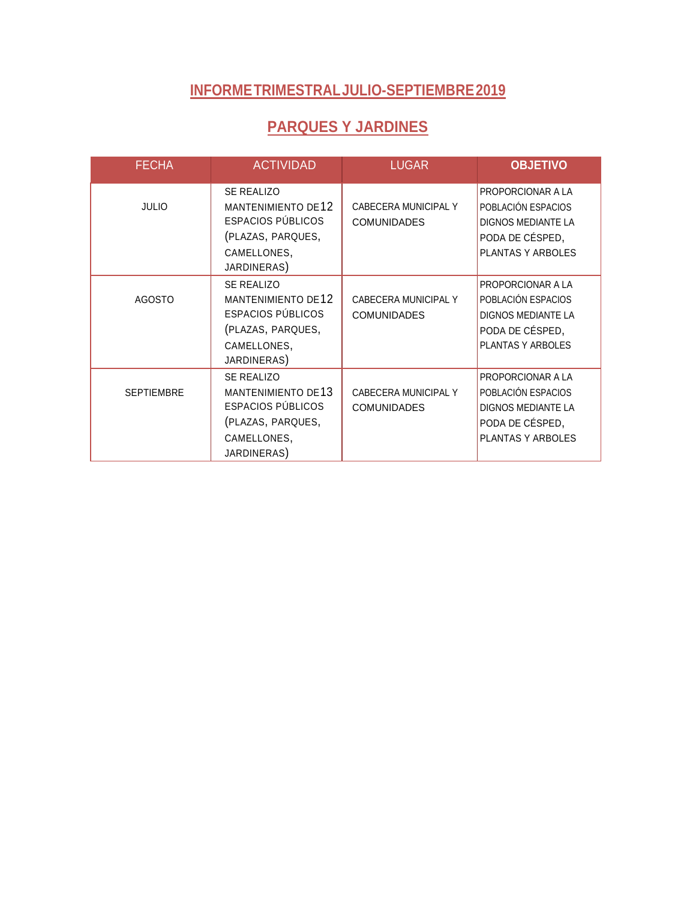### **PARQUES Y JARDINES**

| <b>FECHA</b>      | <b>ACTIVIDAD</b>                                                                                                              | <b>LUGAR</b>                               | <b>OBJETIVO</b>                                                                                              |
|-------------------|-------------------------------------------------------------------------------------------------------------------------------|--------------------------------------------|--------------------------------------------------------------------------------------------------------------|
| <b>JULIO</b>      | SE REALIZO<br><b>MANTENIMIENTO DE12</b><br><b>ESPACIOS PÚBLICOS</b><br>(PLAZAS, PARQUES,<br>CAMELLONES,<br>JARDINERAS)        | CABECERA MUNICIPAL Y<br><b>COMUNIDADES</b> | PROPORCIONAR A LA<br>POBLACIÓN ESPACIOS<br><b>DIGNOS MEDIANTE LA</b><br>PODA DE CÉSPED,<br>PLANTAS Y ARBOLES |
| <b>AGOSTO</b>     | <b>SE REALIZO</b><br><b>MANTENIMIENTO DE12</b><br><b>ESPACIOS PÚBLICOS</b><br>(PLAZAS, PARQUES,<br>CAMELLONES,<br>JARDINERAS) | CABECERA MUNICIPAL Y<br><b>COMUNIDADES</b> | PROPORCIONAR A LA<br>POBLACIÓN ESPACIOS<br><b>DIGNOS MEDIANTE LA</b><br>PODA DE CÉSPED,<br>PLANTAS Y ARBOLES |
| <b>SEPTIEMBRE</b> | SE REALIZO<br><b>MANTENIMIENTO DE13</b><br><b>ESPACIOS PÚBLICOS</b><br>(PLAZAS, PARQUES,<br>CAMELLONES,<br>JARDINERAS)        | CABECERA MUNICIPAL Y<br><b>COMUNIDADES</b> | PROPORCIONAR A LA<br>POBLACIÓN ESPACIOS<br><b>DIGNOS MEDIANTE LA</b><br>PODA DE CÉSPED,<br>PLANTAS Y ARBOLES |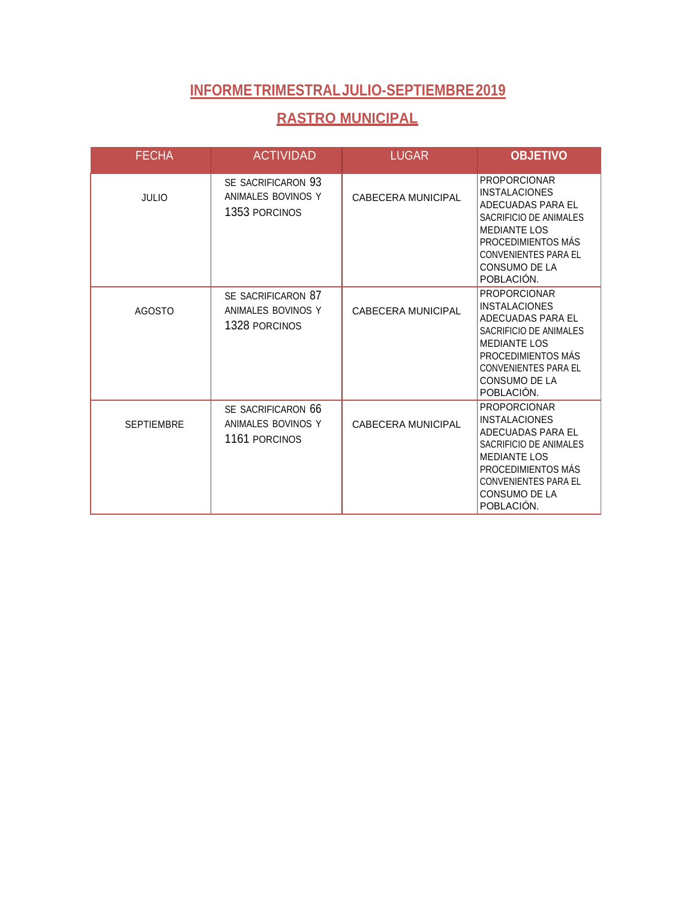#### **RASTRO MUNICIPAL**

| <b>FECHA</b>      | <b>ACTIVIDAD</b>                                          | <b>LUGAR</b>              | <b>OBJETIVO</b>                                                                                                                                                                                              |
|-------------------|-----------------------------------------------------------|---------------------------|--------------------------------------------------------------------------------------------------------------------------------------------------------------------------------------------------------------|
| <b>JULIO</b>      | SE SACRIFICARON 93<br>ANIMALES BOVINOS Y<br>1353 PORCINOS | <b>CABECERA MUNICIPAL</b> | <b>PROPORCIONAR</b><br><b>INSTALACIONES</b><br>ADECUADAS PARA EL<br>SACRIFICIO DE ANIMALES<br><b>MEDIANTE LOS</b><br>PROCEDIMIENTOS MÁS<br><b>CONVENIENTES PARA EL</b><br>CONSUMO DE LA<br>POBLACIÓN.        |
| <b>AGOSTO</b>     | SE SACRIFICARON 87<br>ANIMALES BOVINOS Y<br>1328 PORCINOS | CABECERA MUNICIPAL        | <b>PROPORCIONAR</b><br><b>INSTALACIONES</b><br>ADECUADAS PARA EL<br>SACRIFICIO DE ANIMALES<br><b>MEDIANTE LOS</b><br>PROCEDIMIENTOS MÁS<br><b>CONVENIENTES PARA EL</b><br><b>CONSUMO DE LA</b><br>POBLACIÓN. |
| <b>SEPTIEMBRE</b> | SE SACRIFICARON 66<br>ANIMALES BOVINOS Y<br>1161 PORCINOS | <b>CABECERA MUNICIPAL</b> | <b>PROPORCIONAR</b><br><b>INSTALACIONES</b><br>ADECUADAS PARA EL<br>SACRIFICIO DE ANIMALES<br><b>MEDIANTE LOS</b><br>PROCEDIMIENTOS MÁS<br><b>CONVENIENTES PARA EL</b><br><b>CONSUMO DE LA</b><br>POBLACIÓN. |